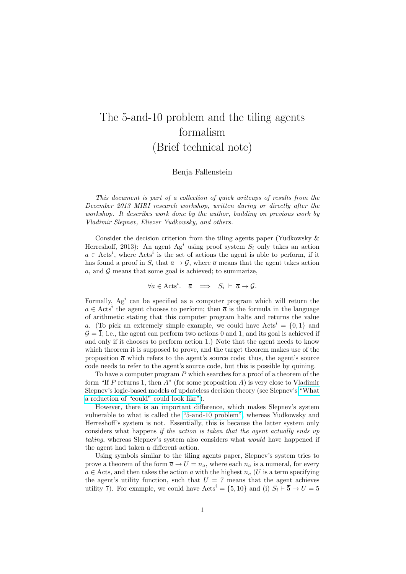## The 5-and-10 problem and the tiling agents formalism (Brief technical note)

Benja Fallenstein

This document is part of a collection of quick writeups of results from the December 2013 MIRI research workshop, written during or directly after the workshop. It describes work done by the author, building on previous work by Vladimir Slepnev, Eliezer Yudkowsky, and others.

Consider the decision criterion from the tiling agents paper (Yudkowsky & Herreshoff, 2013): An agent  $Ag<sup>i</sup>$  using proof system  $S<sub>i</sub>$  only takes an action  $a \in \text{Acts}^i$ , where  $\text{Acts}^i$  is the set of actions the agent is able to perform, if it has found a proof in  $S_i$  that  $\bar{a} \to \mathcal{G}$ , where  $\bar{a}$  means that the agent takes action a, and  $\mathcal G$  means that some goal is achieved; to summarize,

 $\forall a \in \text{Acts}^i$ .  $\overline{a} \implies S_i \vdash \overline{a} \rightarrow \mathcal{G}$ .

Formally,  $Ag<sup>i</sup>$  can be specified as a computer program which will return the  $a \in \text{Acts}^i$  the agent chooses to perform; then  $\overline{a}$  is the formula in the language of arithmetic stating that this computer program halts and returns the value a. (To pick an extremely simple example, we could have  $Acts^i = \{0, 1\}$  and  $\mathcal{G} = \overline{1}$ ; i.e., the agent can perform two actions 0 and 1, and its goal is achieved if and only if it chooses to perform action 1.) Note that the agent needs to know which theorem it is supposed to prove, and the target theorem makes use of the proposition  $\bar{a}$  which refers to the agent's source code; thus, the agent's source code needs to refer to the agent's source code, but this is possible by quining.

To have a computer program P which searches for a proof of a theorem of the form "If P returns 1, then  $A$ " (for some proposition A) is very close to Vladimir Slepnev's logic-based models of updateless decision theory (see Slepnev's ["What](http://lesswrong.com/lw/2l2/what_a_reduction_of_could_could_look_like/) [a reduction of "could" could look like"\)](http://lesswrong.com/lw/2l2/what_a_reduction_of_could_could_look_like/).

However, there is an important difference, which makes Slepnev's system vulnerable to what is called the ["5-and-10 problem",](http://lesswrong.com/lw/15z/ingredients_of_timeless_decision_theory/1217) whereas Yudkowsky and Herreshoff's system is not. Essentially, this is because the latter system only considers what happens if the action is taken that the agent actually ends up taking, whereas Slepnev's system also considers what would have happened if the agent had taken a different action.

Using symbols similar to the tiling agents paper, Slepnev's system tries to prove a theorem of the form  $\overline{a} \to U = n_a$ , where each  $n_a$  is a numeral, for every  $a \in$  Acts, and then takes the action a with the highest  $n_a$  (U is a term specifying the agent's utility function, such that  $U = 7$  means that the agent achieves utility 7). For example, we could have  $\text{Acts}^i = \{5, 10\}$  and (i)  $S_i \stackrel{\smile}{\vdash} \overline{5} \to U = 5$